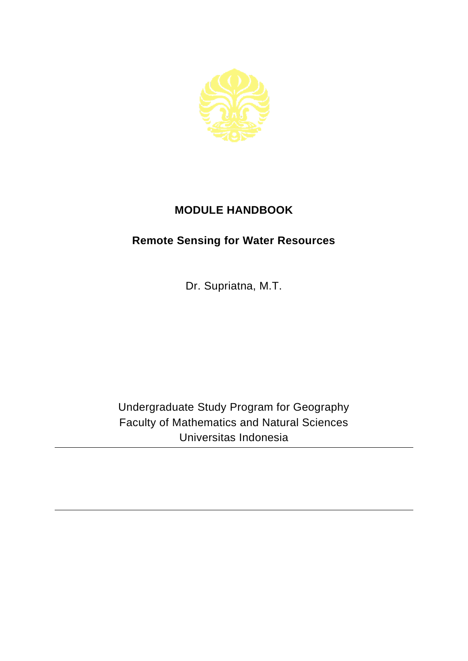

## **MODULE HANDBOOK**

## **Remote Sensing for Water Resources**

Dr. Supriatna, M.T.

Undergraduate Study Program for Geography Faculty of Mathematics and Natural Sciences Universitas Indonesia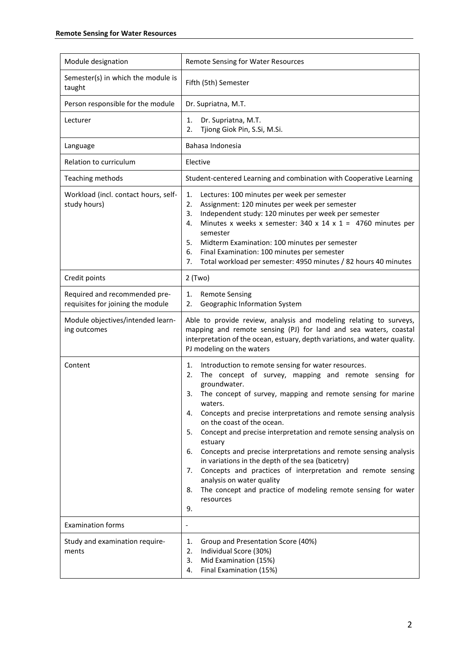| Module designation                                                 | Remote Sensing for Water Resources                                                                                                                                                                                                                                                                                                                                                                                                                                                                                                                                                                                                                                                                                                                 |
|--------------------------------------------------------------------|----------------------------------------------------------------------------------------------------------------------------------------------------------------------------------------------------------------------------------------------------------------------------------------------------------------------------------------------------------------------------------------------------------------------------------------------------------------------------------------------------------------------------------------------------------------------------------------------------------------------------------------------------------------------------------------------------------------------------------------------------|
| Semester(s) in which the module is<br>taught                       | Fifth (5th) Semester                                                                                                                                                                                                                                                                                                                                                                                                                                                                                                                                                                                                                                                                                                                               |
| Person responsible for the module                                  | Dr. Supriatna, M.T.                                                                                                                                                                                                                                                                                                                                                                                                                                                                                                                                                                                                                                                                                                                                |
| Lecturer                                                           | Dr. Supriatna, M.T.<br>1.<br>Tjiong Giok Pin, S.Si, M.Si.<br>2.                                                                                                                                                                                                                                                                                                                                                                                                                                                                                                                                                                                                                                                                                    |
| Language                                                           | Bahasa Indonesia                                                                                                                                                                                                                                                                                                                                                                                                                                                                                                                                                                                                                                                                                                                                   |
| Relation to curriculum                                             | Elective                                                                                                                                                                                                                                                                                                                                                                                                                                                                                                                                                                                                                                                                                                                                           |
| Teaching methods                                                   | Student-centered Learning and combination with Cooperative Learning                                                                                                                                                                                                                                                                                                                                                                                                                                                                                                                                                                                                                                                                                |
| Workload (incl. contact hours, self-<br>study hours)               | Lectures: 100 minutes per week per semester<br>1.<br>Assignment: 120 minutes per week per semester<br>2.<br>Independent study: 120 minutes per week per semester<br>3.<br>Minutes x weeks x semester: 340 x 14 x 1 = 4760 minutes per<br>4.<br>semester<br>Midterm Examination: 100 minutes per semester<br>5.<br>6.<br>Final Examination: 100 minutes per semester<br>Total workload per semester: 4950 minutes / 82 hours 40 minutes<br>7.                                                                                                                                                                                                                                                                                                       |
| Credit points                                                      | $2$ (Two)                                                                                                                                                                                                                                                                                                                                                                                                                                                                                                                                                                                                                                                                                                                                          |
| Required and recommended pre-<br>requisites for joining the module | <b>Remote Sensing</b><br>1.<br>Geographic Information System<br>2.                                                                                                                                                                                                                                                                                                                                                                                                                                                                                                                                                                                                                                                                                 |
| Module objectives/intended learn-<br>ing outcomes                  | Able to provide review, analysis and modeling relating to surveys,<br>mapping and remote sensing (PJ) for land and sea waters, coastal<br>interpretation of the ocean, estuary, depth variations, and water quality.<br>PJ modeling on the waters                                                                                                                                                                                                                                                                                                                                                                                                                                                                                                  |
| Content                                                            | Introduction to remote sensing for water resources.<br>1.<br>The concept of survey, mapping and remote sensing for<br>2.<br>groundwater.<br>The concept of survey, mapping and remote sensing for marine<br>3.<br>waters.<br>Concepts and precise interpretations and remote sensing analysis<br>4.<br>on the coast of the ocean.<br>Concept and precise interpretation and remote sensing analysis on<br>5.<br>estuary<br>Concepts and precise interpretations and remote sensing analysis<br>6.<br>in variations in the depth of the sea (baticetry)<br>Concepts and practices of interpretation and remote sensing<br>7.<br>analysis on water quality<br>The concept and practice of modeling remote sensing for water<br>8.<br>resources<br>9. |
| <b>Examination forms</b>                                           |                                                                                                                                                                                                                                                                                                                                                                                                                                                                                                                                                                                                                                                                                                                                                    |
| Study and examination require-<br>ments                            | Group and Presentation Score (40%)<br>1.<br>Individual Score (30%)<br>2.<br>Mid Examination (15%)<br>3.<br>Final Examination (15%)<br>4.                                                                                                                                                                                                                                                                                                                                                                                                                                                                                                                                                                                                           |